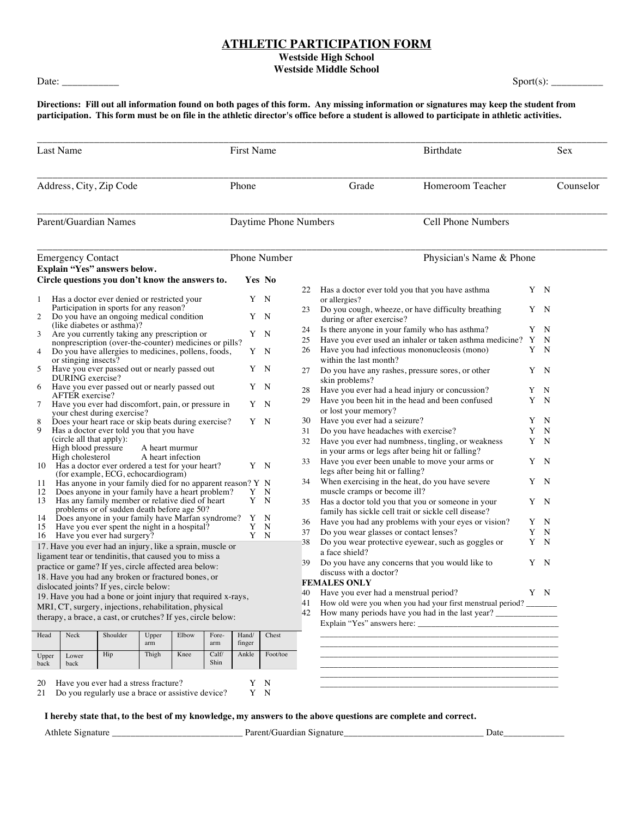## **ATHLETIC PARTICIPATION FORM**

**Westside High School**

**Westside Middle School**

Date: Sport(s):

**Directions: Fill out all information found on both pages of this form. Any missing information or signatures may keep the student from participation. This form must be on file in the athletic director's office before a student is allowed to participate in athletic activities.**

| Last Name                                                                                                 |                                                                                                |                                                                                                  |              |       |                                                   | First Name      |                       |                                                                    | Birthdate                                                                          |   |           |  |
|-----------------------------------------------------------------------------------------------------------|------------------------------------------------------------------------------------------------|--------------------------------------------------------------------------------------------------|--------------|-------|---------------------------------------------------|-----------------|-----------------------|--------------------------------------------------------------------|------------------------------------------------------------------------------------|---|-----------|--|
| Address, City, Zip Code                                                                                   |                                                                                                |                                                                                                  |              |       |                                                   | Phone           |                       |                                                                    | Homeroom Teacher<br>Grade                                                          |   | Counselor |  |
|                                                                                                           | Parent/Guardian Names                                                                          |                                                                                                  |              |       |                                                   |                 | Daytime Phone Numbers |                                                                    | <b>Cell Phone Numbers</b>                                                          |   |           |  |
| <b>Emergency Contact</b>                                                                                  |                                                                                                |                                                                                                  |              |       |                                                   | Phone Number    |                       |                                                                    | Physician's Name & Phone                                                           |   |           |  |
|                                                                                                           | Explain "Yes" answers below.                                                                   |                                                                                                  |              |       |                                                   |                 |                       |                                                                    |                                                                                    |   |           |  |
|                                                                                                           | Circle questions you don't know the answers to.                                                |                                                                                                  |              |       |                                                   | Yes No          |                       |                                                                    |                                                                                    |   |           |  |
| $\mathbf{1}$                                                                                              | Has a doctor ever denied or restricted your                                                    |                                                                                                  |              |       |                                                   | Y N             |                       |                                                                    | 22 Has a doctor ever told you that you have asthma                                 |   | Y N       |  |
|                                                                                                           | Participation in sports for any reason?                                                        |                                                                                                  |              |       |                                                   |                 |                       | 23                                                                 | or allergies?<br>Do you cough, wheeze, or have difficulty breathing                |   | Y N       |  |
| 2                                                                                                         | Do you have an ongoing medical condition                                                       |                                                                                                  |              |       |                                                   | Y N             |                       |                                                                    | during or after exercise?                                                          |   |           |  |
| 3                                                                                                         | (like diabetes or asthma)?<br>Are you currently taking any prescription or                     |                                                                                                  |              |       |                                                   | Y N             |                       | 24                                                                 | Is there anyone in your family who has asthma?                                     |   | Y N       |  |
|                                                                                                           | nonprescription (over-the-counter) medicines or pills?                                         |                                                                                                  |              |       |                                                   |                 |                       | 25                                                                 | Have you ever used an inhaler or taken asthma medicine? Y N                        |   |           |  |
| 4                                                                                                         | Do you have allergies to medicines, pollens, foods,                                            |                                                                                                  |              |       |                                                   | Y N             |                       | 26                                                                 | Have you had infectious mononucleosis (mono)                                       |   | Y N       |  |
|                                                                                                           | or stinging insects?                                                                           |                                                                                                  |              |       |                                                   | Y N             |                       |                                                                    | within the last month?                                                             |   |           |  |
| 5                                                                                                         | Have you ever passed out or nearly passed out<br>DURING exercise?                              |                                                                                                  |              |       |                                                   |                 |                       | 27                                                                 | Do you have any rashes, pressure sores, or other<br>skin problems?                 |   | Y N       |  |
| 6                                                                                                         | Have you ever passed out or nearly passed out                                                  |                                                                                                  |              |       |                                                   | Y N             |                       | 28                                                                 | Have you ever had a head injury or concussion?                                     |   | Y N       |  |
|                                                                                                           | AFTER exercise?                                                                                |                                                                                                  |              |       |                                                   | Y N             |                       | 29                                                                 | Have you been hit in the head and been confused                                    |   | Y N       |  |
| $7\phantom{.0}$                                                                                           | Have you ever had discomfort, pain, or pressure in<br>your chest during exercise?              |                                                                                                  |              |       |                                                   |                 |                       |                                                                    | or lost your memory?                                                               |   |           |  |
| 8                                                                                                         | Does your heart race or skip beats during exercise?<br>Y N                                     |                                                                                                  |              |       |                                                   |                 |                       | 30                                                                 | Have you ever had a seizure?                                                       |   | Y N       |  |
| 9                                                                                                         | Has a doctor ever told you that you have                                                       |                                                                                                  |              |       |                                                   |                 | 31                    | Do you have headaches with exercise?                               | Y                                                                                  | N |           |  |
|                                                                                                           | (circle all that apply):<br>High blood pressure<br>A heart murmur                              |                                                                                                  |              |       |                                                   |                 |                       | 32                                                                 | Have you ever had numbness, tingling, or weakness                                  |   | Y N       |  |
|                                                                                                           | High cholesterol<br>A heart infection                                                          |                                                                                                  |              |       |                                                   |                 |                       |                                                                    | in your arms or legs after being hit or falling?                                   |   |           |  |
|                                                                                                           | 10 Has a doctor ever ordered a test for your heart?                                            |                                                                                                  |              |       |                                                   | Y N             |                       | 33                                                                 | Have you ever been unable to move your arms or<br>legs after being hit or falling? |   | Y N       |  |
| 11 -                                                                                                      |                                                                                                | (for example, ECG, echocardiogram)<br>Has anyone in your family died for no apparent reason? Y N |              |       |                                                   |                 |                       | 34                                                                 | When exercising in the heat, do you have severe                                    |   | Y N       |  |
| 12                                                                                                        |                                                                                                | Does anyone in your family have a heart problem?                                                 |              |       |                                                   | Y N             |                       |                                                                    | muscle cramps or become ill?                                                       |   |           |  |
| 13                                                                                                        | Y N<br>Has any family member or relative died of heart                                         |                                                                                                  |              | 35    | Has a doctor told you that you or someone in your |                 | Y N                   |                                                                    |                                                                                    |   |           |  |
|                                                                                                           | problems or of sudden death before age 50?<br>Does anyone in your family have Marfan syndrome? |                                                                                                  |              |       |                                                   |                 | N                     |                                                                    | family has sickle cell trait or sickle cell disease?                               |   |           |  |
| 14<br>15                                                                                                  |                                                                                                | Have you ever spent the night in a hospital?                                                     |              |       |                                                   | Y<br>Y          | N                     | 36                                                                 | Have you had any problems with your eyes or vision?                                |   | Y N       |  |
| 16                                                                                                        |                                                                                                | Have you ever had surgery?                                                                       |              |       |                                                   | Y N             |                       | 37                                                                 | Do you wear glasses or contact lenses?                                             |   | Y N       |  |
|                                                                                                           | 17. Have you ever had an injury, like a sprain, muscle or                                      |                                                                                                  |              |       |                                                   |                 |                       | 38                                                                 | Do you wear protective eyewear, such as goggles or<br>a face shield?               |   | Y N       |  |
|                                                                                                           | ligament tear or tendinitis, that caused you to miss a                                         |                                                                                                  |              |       |                                                   |                 |                       | 39                                                                 | Do you have any concerns that you would like to                                    |   | Y N       |  |
|                                                                                                           | practice or game? If yes, circle affected area below:                                          |                                                                                                  |              |       |                                                   |                 |                       |                                                                    | discuss with a doctor?                                                             |   |           |  |
| 18. Have you had any broken or fractured bones, or                                                        |                                                                                                |                                                                                                  |              |       |                                                   |                 |                       |                                                                    | <b>FEMALES ONLY</b>                                                                |   |           |  |
| dislocated joints? If yes, circle below:<br>19. Have you had a bone or joint injury that required x-rays. |                                                                                                |                                                                                                  |              |       |                                                   |                 |                       | 40                                                                 | Have you ever had a menstrual period?                                              |   | Y N       |  |
| MRI, CT, surgery, injections, rehabilitation, physical                                                    |                                                                                                |                                                                                                  |              |       |                                                   |                 | 41                    | How old were you when you had your first menstrual period? _______ |                                                                                    |   |           |  |
|                                                                                                           | therapy, a brace, a cast, or crutches? If yes, circle below:                                   |                                                                                                  |              |       |                                                   |                 |                       | 42                                                                 |                                                                                    |   |           |  |
|                                                                                                           |                                                                                                |                                                                                                  |              |       |                                                   |                 |                       |                                                                    | Explain "Yes" answers here:                                                        |   |           |  |
| Head                                                                                                      | Neck                                                                                           | Shoulder                                                                                         | Upper<br>arm | Elbow | Fore-<br>arm                                      | Hand/<br>finger | Chest                 |                                                                    |                                                                                    |   |           |  |
| Upper                                                                                                     | Lower                                                                                          | Hip                                                                                              | Thigh        | Knee  | Calf/                                             | Ankle           | Foot/toe              |                                                                    |                                                                                    |   |           |  |
| back                                                                                                      | back                                                                                           |                                                                                                  |              |       | Shin                                              |                 |                       |                                                                    |                                                                                    |   |           |  |
| 20                                                                                                        |                                                                                                | Have you ever had a stress fracture?                                                             |              |       |                                                   | Y N             |                       |                                                                    |                                                                                    |   |           |  |
| 21                                                                                                        |                                                                                                | Do you regularly use a brace or assistive device?                                                |              |       |                                                   | Y N             |                       |                                                                    |                                                                                    |   |           |  |

**I hereby state that, to the best of my knowledge, my answers to the above questions are complete and correct.** 

21 Do you regularly use a brace or assistive device?

Athlete Signature \_\_\_\_\_\_\_\_\_\_\_\_\_\_\_\_\_\_\_\_\_\_\_\_\_\_\_\_ Parent/Guardian Signature\_\_\_\_\_\_\_\_\_\_\_\_\_\_\_\_\_\_\_\_\_\_\_\_\_\_\_\_\_\_ Date\_\_\_\_\_\_\_\_\_\_\_\_\_